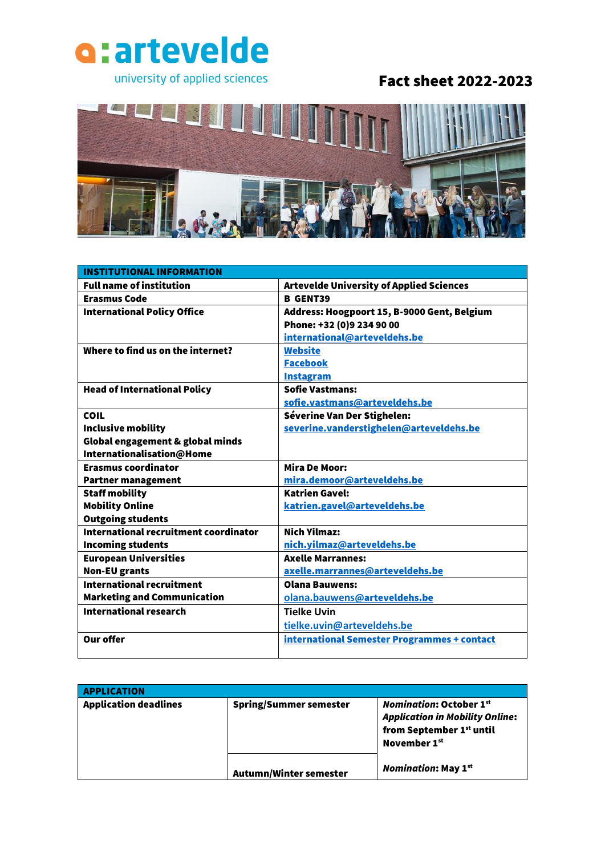

## Fact sheet 2022-2023



| <b>INSTITUTIONAL INFORMATION</b>      |                                                 |
|---------------------------------------|-------------------------------------------------|
| <b>Full name of institution</b>       | <b>Artevelde University of Applied Sciences</b> |
| <b>Erasmus Code</b>                   | <b>B</b> GENT39                                 |
| <b>International Policy Office</b>    | Address: Hoogpoort 15, B-9000 Gent, Belgium     |
|                                       | Phone: +32 (0)9 234 90 00                       |
|                                       | international@arteveldehs.be                    |
| Where to find us on the internet?     | <b>Website</b>                                  |
|                                       | <b>Facebook</b>                                 |
|                                       | <b>Instagram</b>                                |
| <b>Head of International Policy</b>   | <b>Sofie Vastmans:</b>                          |
|                                       | sofie.vastmans@arteveldehs.be                   |
| <b>COIL</b>                           | Séverine Van Der Stighelen:                     |
| Inclusive mobility                    | severine.vanderstighelen@arteveldehs.be         |
| Global engagement & global minds      |                                                 |
| Internationalisation@Home             |                                                 |
| <b>Erasmus coordinator</b>            | <b>Mira De Moor:</b>                            |
| <b>Partner management</b>             | mira.demoor@arteveldehs.be                      |
| <b>Staff mobility</b>                 | <b>Katrien Gavel:</b>                           |
| <b>Mobility Online</b>                | katrien.gavel@arteveldehs.be                    |
| <b>Outgoing students</b>              |                                                 |
| International recruitment coordinator | <b>Nich Vilmaz:</b>                             |
| <b>Incoming students</b>              | nich.yilmaz@arteveldehs.be                      |
| <b>European Universities</b>          | <b>Axelle Marrannes:</b>                        |
| <b>Non-EU grants</b>                  | axelle.marrannes@arteveldehs.be                 |
| <b>International recruitment</b>      | <b>Olana Bauwens:</b>                           |
| <b>Marketing and Communication</b>    | olana.bauwens@arteveldehs.be                    |
| <b>International research</b>         | <b>Tielke Uvin</b>                              |
|                                       | tielke.uvin@arteveldehs.be                      |
| <b>Our offer</b>                      | international Semester Programmes + contact     |
|                                       |                                                 |

| <b>APPLICATION</b>           |                               |                                                                                                                                  |
|------------------------------|-------------------------------|----------------------------------------------------------------------------------------------------------------------------------|
| <b>Application deadlines</b> | <b>Spring/Summer semester</b> | <b>Nomination: October 1st</b><br><b>Application in Mobility Online:</b><br>from September 1st until<br>November 1 <sup>st</sup> |
|                              | Autumn/Winter semester        | <b>Nomination: May 1st</b>                                                                                                       |